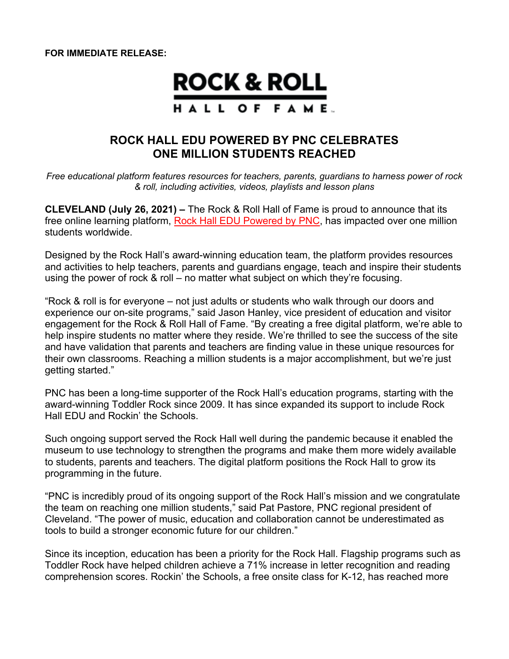**FOR IMMEDIATE RELEASE:**

# **ROCK & ROLL** HALL OF FAME.

## **ROCK HALL EDU POWERED BY PNC CELEBRATES ONE MILLION STUDENTS REACHED**

*Free educational platform features resources for teachers, parents, guardians to harness power of rock & roll, including activities, videos, playlists and lesson plans*

**CLEVELAND (July 26, 2021) –** The Rock & Roll Hall of Fame is proud to announce that its free online learning platform, Rock Hall EDU Powered by PNC, has impacted over one million students worldwide.

Designed by the Rock Hall's award-winning education team, the platform provides resources and activities to help teachers, parents and guardians engage, teach and inspire their students using the power of rock & roll – no matter what subject on which they're focusing.

"Rock & roll is for everyone – not just adults or students who walk through our doors and experience our on-site programs," said Jason Hanley, vice president of education and visitor engagement for the Rock & Roll Hall of Fame. "By creating a free digital platform, we're able to help inspire students no matter where they reside. We're thrilled to see the success of the site and have validation that parents and teachers are finding value in these unique resources for their own classrooms. Reaching a million students is a major accomplishment, but we're just getting started."

PNC has been a long-time supporter of the Rock Hall's education programs, starting with the award-winning Toddler Rock since 2009. It has since expanded its support to include Rock Hall EDU and Rockin' the Schools.

Such ongoing support served the Rock Hall well during the pandemic because it enabled the museum to use technology to strengthen the programs and make them more widely available to students, parents and teachers. The digital platform positions the Rock Hall to grow its programming in the future.

"PNC is incredibly proud of its ongoing support of the Rock Hall's mission and we congratulate the team on reaching one million students," said Pat Pastore, PNC regional president of Cleveland. "The power of music, education and collaboration cannot be underestimated as tools to build a stronger economic future for our children."

Since its inception, education has been a priority for the Rock Hall. Flagship programs such as Toddler Rock have helped children achieve a 71% increase in letter recognition and reading comprehension scores. Rockin' the Schools, a free onsite class for K-12, has reached more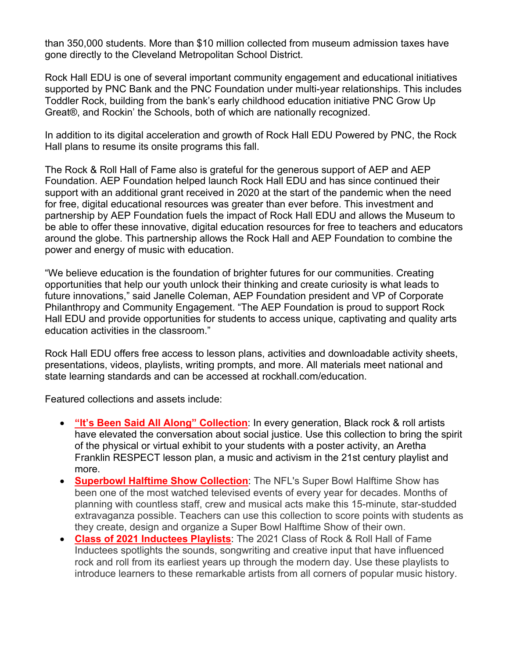than 350,000 students. More than \$10 million collected from museum admission taxes have gone directly to the Cleveland Metropolitan School District.

Rock Hall EDU is one of several important community engagement and educational initiatives supported by PNC Bank and the PNC Foundation under multi-year relationships. This includes Toddler Rock, building from the bank's early childhood education initiative PNC Grow Up Great®, and Rockin' the Schools, both of which are nationally recognized.

In addition to its digital acceleration and growth of Rock Hall EDU Powered by PNC, the Rock Hall plans to resume its onsite programs this fall.

The Rock & Roll Hall of Fame also is grateful for the generous support of AEP and AEP Foundation. AEP Foundation helped launch Rock Hall EDU and has since continued their support with an additional grant received in 2020 at the start of the pandemic when the need for free, digital educational resources was greater than ever before. This investment and partnership by AEP Foundation fuels the impact of Rock Hall EDU and allows the Museum to be able to offer these innovative, digital education resources for free to teachers and educators around the globe. This partnership allows the Rock Hall and AEP Foundation to combine the power and energy of music with education.

"We believe education is the foundation of brighter futures for our communities. Creating opportunities that help our youth unlock their thinking and create curiosity is what leads to future innovations," said Janelle Coleman, AEP Foundation president and VP of Corporate Philanthropy and Community Engagement. "The AEP Foundation is proud to support Rock Hall EDU and provide opportunities for students to access unique, captivating and quality arts education activities in the classroom."

Rock Hall EDU offers free access to lesson plans, activities and downloadable activity sheets, presentations, videos, playlists, writing prompts, and more. All materials meet national and state learning standards and can be accessed at rockhall.com/education.

Featured collections and assets include:

- **"It's Been Said All Along" Collection**: In every generation, Black rock & roll artists have elevated the conversation about social justice. Use this collection to bring the spirit of the physical or virtual exhibit to your students with a poster activity, an Aretha Franklin RESPECT lesson plan, a music and activism in the 21st century playlist and more.
- **Superbowl Halftime Show Collection**: The NFL's Super Bowl Halftime Show has been one of the most watched televised events of every year for decades. Months of planning with countless staff, crew and musical acts make this 15-minute, star-studded extravaganza possible. Teachers can use this collection to score points with students as they create, design and organize a Super Bowl Halftime Show of their own.
- **Class of 2021 Inductees Playlists**: The 2021 Class of Rock & Roll Hall of Fame Inductees spotlights the sounds, songwriting and creative input that have influenced rock and roll from its earliest years up through the modern day. Use these playlists to introduce learners to these remarkable artists from all corners of popular music history.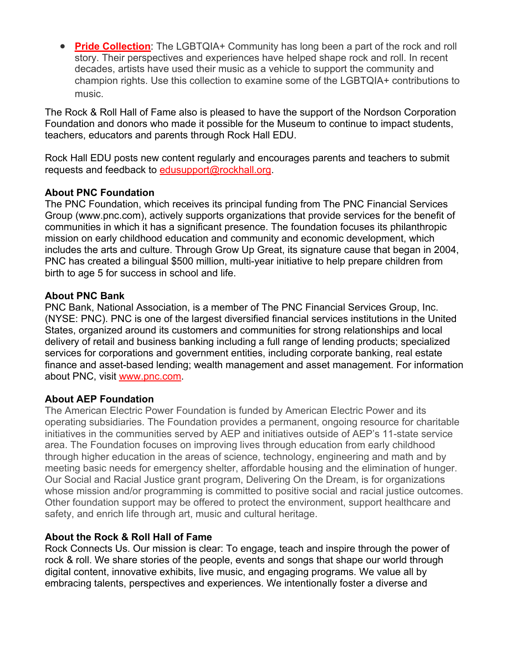• **Pride Collection**: The LGBTQIA+ Community has long been a part of the rock and roll story. Their perspectives and experiences have helped shape rock and roll. In recent decades, artists have used their music as a vehicle to support the community and champion rights. Use this collection to examine some of the LGBTQIA+ contributions to music.

The Rock & Roll Hall of Fame also is pleased to have the support of the Nordson Corporation Foundation and donors who made it possible for the Museum to continue to impact students, teachers, educators and parents through Rock Hall EDU.

Rock Hall EDU posts new content regularly and encourages parents and teachers to submit requests and feedback to edusupport@rockhall.org.

#### **About PNC Foundation**

The PNC Foundation, which receives its principal funding from The PNC Financial Services Group (www.pnc.com), actively supports organizations that provide services for the benefit of communities in which it has a significant presence. The foundation focuses its philanthropic mission on early childhood education and community and economic development, which includes the arts and culture. Through Grow Up Great, its signature cause that began in 2004, PNC has created a bilingual \$500 million, multi-year initiative to help prepare children from birth to age 5 for success in school and life.

#### **About PNC Bank**

PNC Bank, National Association, is a member of The PNC Financial Services Group, Inc. (NYSE: PNC). PNC is one of the largest diversified financial services institutions in the United States, organized around its customers and communities for strong relationships and local delivery of retail and business banking including a full range of lending products; specialized services for corporations and government entities, including corporate banking, real estate finance and asset-based lending; wealth management and asset management. For information about PNC, visit www.pnc.com.

#### **About AEP Foundation**

The American Electric Power Foundation is funded by American Electric Power and its operating subsidiaries. The Foundation provides a permanent, ongoing resource for charitable initiatives in the communities served by AEP and initiatives outside of AEP's 11-state service area. The Foundation focuses on improving lives through education from early childhood through higher education in the areas of science, technology, engineering and math and by meeting basic needs for emergency shelter, affordable housing and the elimination of hunger. Our Social and Racial Justice grant program, Delivering On the Dream, is for organizations whose mission and/or programming is committed to positive social and racial justice outcomes. Other foundation support may be offered to protect the environment, support healthcare and safety, and enrich life through art, music and cultural heritage.

### **About the Rock & Roll Hall of Fame**

Rock Connects Us. Our mission is clear: To engage, teach and inspire through the power of rock & roll. We share stories of the people, events and songs that shape our world through digital content, innovative exhibits, live music, and engaging programs. We value all by embracing talents, perspectives and experiences. We intentionally foster a diverse and